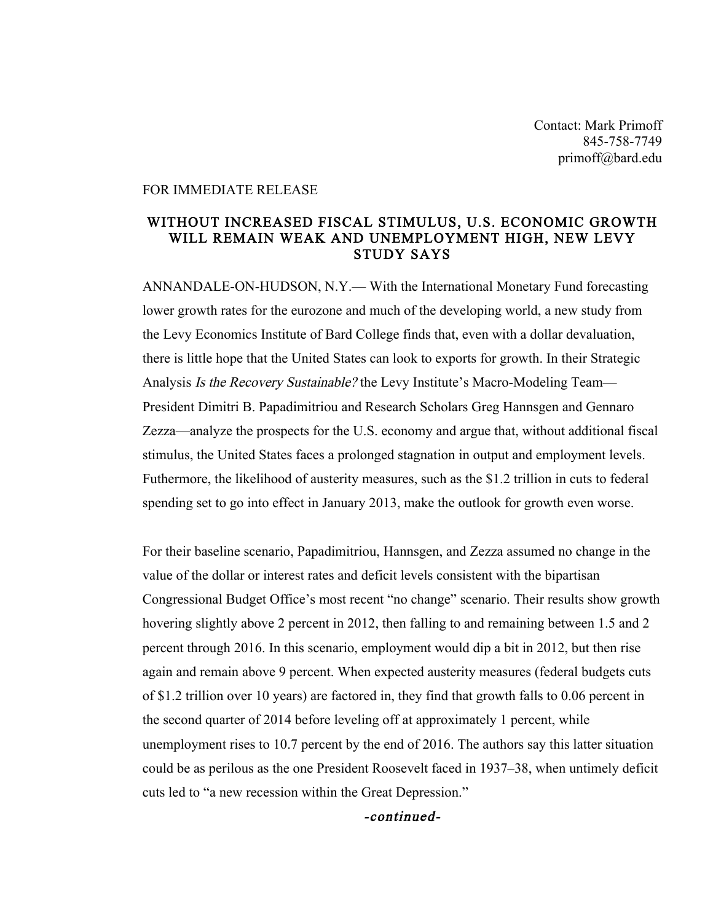Contact: Mark Primoff 845-758-7749 primoff@bard.edu

## FOR IMMEDIATE RELEASE

## WITHOUT INCREASED FISCAL STIMULUS, U.S. ECONOMIC GROWTH WILL REMAIN WEAK AND UNEMPLOYMENT HIGH, NEW LEVY STUDY SAYS

ANNANDALE-ON-HUDSON, N.Y.— With the International Monetary Fund forecasting lower growth rates for the eurozone and much of the developing world, a new study from the Levy Economics Institute of Bard College finds that, even with a dollar devaluation, there is little hope that the United States can look to exports for growth. In their Strategic Analysis Is the Recovery Sustainable? the Levy Institute's Macro-Modeling Team— President Dimitri B. Papadimitriou and Research Scholars Greg Hannsgen and Gennaro Zezza—analyze the prospects for the U.S. economy and argue that, without additional fiscal stimulus, the United States faces a prolonged stagnation in output and employment levels. Futhermore, the likelihood of austerity measures, such as the \$1.2 trillion in cuts to federal spending set to go into effect in January 2013, make the outlook for growth even worse.

For their baseline scenario, Papadimitriou, Hannsgen, and Zezza assumed no change in the value of the dollar or interest rates and deficit levels consistent with the bipartisan Congressional Budget Office's most recent "no change" scenario. Their results show growth hovering slightly above 2 percent in 2012, then falling to and remaining between 1.5 and 2 percent through 2016. In this scenario, employment would dip a bit in 2012, but then rise again and remain above 9 percent. When expected austerity measures (federal budgets cuts of \$1.2 trillion over 10 years) are factored in, they find that growth falls to 0.06 percent in the second quarter of 2014 before leveling off at approximately 1 percent, while unemployment rises to 10.7 percent by the end of 2016. The authors say this latter situation could be as perilous as the one President Roosevelt faced in 1937–38, when untimely deficit cuts led to "a new recession within the Great Depression."

-continued-